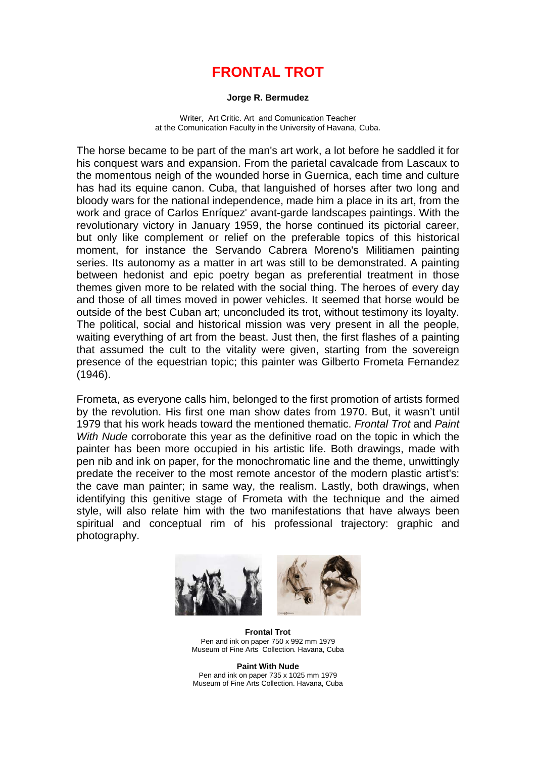## **FRONTAL TROT**

## **Jorge R. Bermudez**

Writer, Art Critic. Art and Comunication Teacher at the Comunication Faculty in the University of Havana, Cuba.

The horse became to be part of the man's art work, a lot before he saddled it for his conquest wars and expansion. From the parietal cavalcade from Lascaux to the momentous neigh of the wounded horse in Guernica, each time and culture has had its equine canon. Cuba, that languished of horses after two long and bloody wars for the national independence, made him a place in its art, from the work and grace of Carlos Enríquez' avant-garde landscapes paintings. With the revolutionary victory in January 1959, the horse continued its pictorial career, but only like complement or relief on the preferable topics of this historical moment, for instance the Servando Cabrera Moreno's Militiamen painting series. Its autonomy as a matter in art was still to be demonstrated. A painting between hedonist and epic poetry began as preferential treatment in those themes given more to be related with the social thing. The heroes of every day and those of all times moved in power vehicles. It seemed that horse would be outside of the best Cuban art; unconcluded its trot, without testimony its loyalty. The political, social and historical mission was very present in all the people, waiting everything of art from the beast. Just then, the first flashes of a painting that assumed the cult to the vitality were given, starting from the sovereign presence of the equestrian topic; this painter was Gilberto Frometa Fernandez (1946).

Frometa, as everyone calls him, belonged to the first promotion of artists formed by the revolution. His first one man show dates from 1970. But, it wasn't until 1979 that his work heads toward the mentioned thematic. *Frontal Trot* and *Paint With Nude* corroborate this year as the definitive road on the topic in which the painter has been more occupied in his artistic life. Both drawings, made with pen nib and ink on paper, for the monochromatic line and the theme, unwittingly predate the receiver to the most remote ancestor of the modern plastic artist's: the cave man painter; in same way, the realism. Lastly, both drawings, when identifying this genitive stage of Frometa with the technique and the aimed style, will also relate him with the two manifestations that have always been spiritual and conceptual rim of his professional trajectory: graphic and photography.



**Frontal Trot** Pen and ink on paper 750 x 992 mm 1979 Museum of Fine Arts Collection. Havana, Cuba

**Paint With Nude** Pen and ink on paper 735 x 1025 mm 1979 Museum of Fine Arts Collection. Havana, Cuba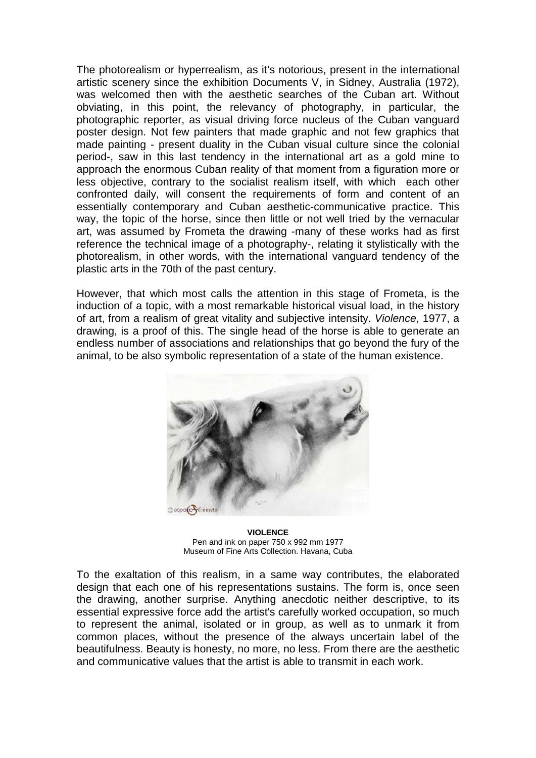The photorealism or hyperrealism, as it's notorious, present in the international artistic scenery since the exhibition Documents V, in Sidney, Australia (1972), was welcomed then with the aesthetic searches of the Cuban art. Without obviating, in this point, the relevancy of photography, in particular, the photographic reporter, as visual driving force nucleus of the Cuban vanguard poster design. Not few painters that made graphic and not few graphics that made painting - present duality in the Cuban visual culture since the colonial period-, saw in this last tendency in the international art as a gold mine to approach the enormous Cuban reality of that moment from a figuration more or less objective, contrary to the socialist realism itself, with which each other confronted daily, will consent the requirements of form and content of an essentially contemporary and Cuban aesthetic-communicative practice. This way, the topic of the horse, since then little or not well tried by the vernacular art, was assumed by Frometa the drawing -many of these works had as first reference the technical image of a photography-, relating it stylistically with the photorealism, in other words, with the international vanguard tendency of the plastic arts in the 70th of the past century.

However, that which most calls the attention in this stage of Frometa, is the induction of a topic, with a most remarkable historical visual load, in the history of art, from a realism of great vitality and subjective intensity. *Violence*, 1977, a drawing, is a proof of this. The single head of the horse is able to generate an endless number of associations and relationships that go beyond the fury of the animal, to be also symbolic representation of a state of the human existence.



**VIOLENCE** Pen and ink on paper 750 x 992 mm 1977 Museum of Fine Arts Collection. Havana, Cuba

To the exaltation of this realism, in a same way contributes, the elaborated design that each one of his representations sustains. The form is, once seen the drawing, another surprise. Anything anecdotic neither descriptive, to its essential expressive force add the artist's carefully worked occupation, so much to represent the animal, isolated or in group, as well as to unmark it from common places, without the presence of the always uncertain label of the beautifulness. Beauty is honesty, no more, no less. From there are the aesthetic and communicative values that the artist is able to transmit in each work.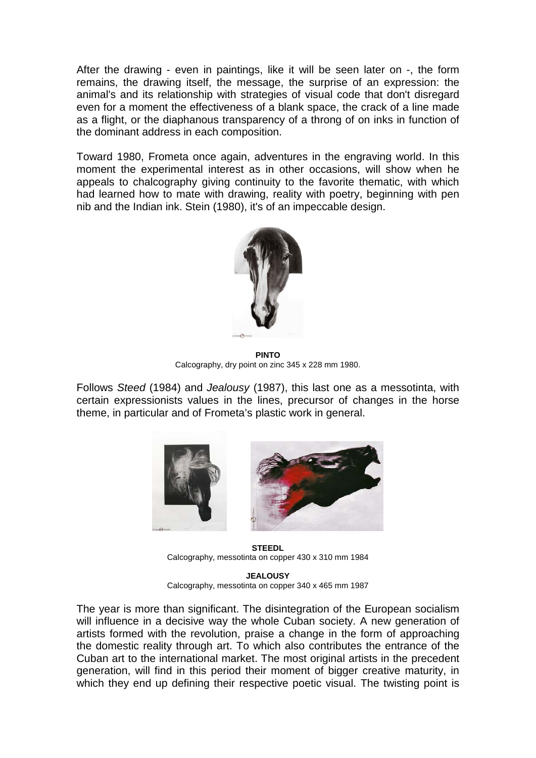After the drawing - even in paintings, like it will be seen later on -, the form remains, the drawing itself, the message, the surprise of an expression: the animal's and its relationship with strategies of visual code that don't disregard even for a moment the effectiveness of a blank space, the crack of a line made as a flight, or the diaphanous transparency of a throng of on inks in function of the dominant address in each composition.

Toward 1980, Frometa once again, adventures in the engraving world. In this moment the experimental interest as in other occasions, will show when he appeals to chalcography giving continuity to the favorite thematic, with which had learned how to mate with drawing, reality with poetry, beginning with pen nib and the Indian ink. Stein (1980), it's of an impeccable design.



**PINTO** Calcography, dry point on zinc 345 x 228 mm 1980.

Follows *Steed* (1984) and *Jealousy* (1987), this last one as a messotinta, with certain expressionists values in the lines, precursor of changes in the horse theme, in particular and of Frometa's plastic work in general.





**STEEDL** Calcography, messotinta on copper 430 x 310 mm 1984

**JEALOUSY** Calcography, messotinta on copper 340 x 465 mm 1987

The year is more than significant. The disintegration of the European socialism will influence in a decisive way the whole Cuban society. A new generation of artists formed with the revolution, praise a change in the form of approaching the domestic reality through art. To which also contributes the entrance of the Cuban art to the international market. The most original artists in the precedent generation, will find in this period their moment of bigger creative maturity, in which they end up defining their respective poetic visual. The twisting point is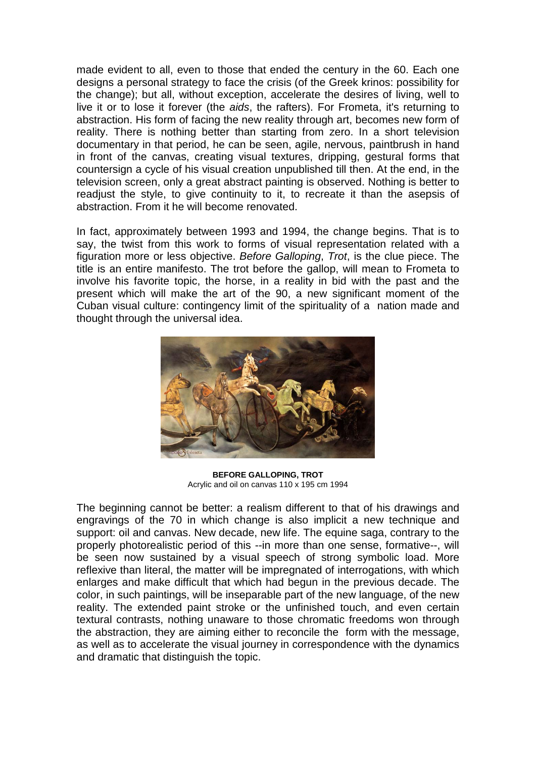made evident to all, even to those that ended the century in the 60. Each one designs a personal strategy to face the crisis (of the Greek krinos: possibility for the change); but all, without exception, accelerate the desires of living, well to live it or to lose it forever (the *aids*, the rafters). For Frometa, it's returning to abstraction. His form of facing the new reality through art, becomes new form of reality. There is nothing better than starting from zero. In a short television documentary in that period, he can be seen, agile, nervous, paintbrush in hand in front of the canvas, creating visual textures, dripping, gestural forms that countersign a cycle of his visual creation unpublished till then. At the end, in the television screen, only a great abstract painting is observed. Nothing is better to readjust the style, to give continuity to it, to recreate it than the asepsis of abstraction. From it he will become renovated.

In fact, approximately between 1993 and 1994, the change begins. That is to say, the twist from this work to forms of visual representation related with a figuration more or less objective. *Before Galloping*, *Trot*, is the clue piece. The title is an entire manifesto. The trot before the gallop, will mean to Frometa to involve his favorite topic, the horse, in a reality in bid with the past and the present which will make the art of the 90, a new significant moment of the Cuban visual culture: contingency limit of the spirituality of a nation made and thought through the universal idea.



**BEFORE GALLOPING, TROT** Acrylic and oil on canvas 110 x 195 cm 1994

The beginning cannot be better: a realism different to that of his drawings and engravings of the 70 in which change is also implicit a new technique and support: oil and canvas. New decade, new life. The equine saga, contrary to the properly photorealistic period of this --in more than one sense, formative--, will be seen now sustained by a visual speech of strong symbolic load. More reflexive than literal, the matter will be impregnated of interrogations, with which enlarges and make difficult that which had begun in the previous decade. The color, in such paintings, will be inseparable part of the new language, of the new reality. The extended paint stroke or the unfinished touch, and even certain textural contrasts, nothing unaware to those chromatic freedoms won through the abstraction, they are aiming either to reconcile the form with the message, as well as to accelerate the visual journey in correspondence with the dynamics and dramatic that distinguish the topic.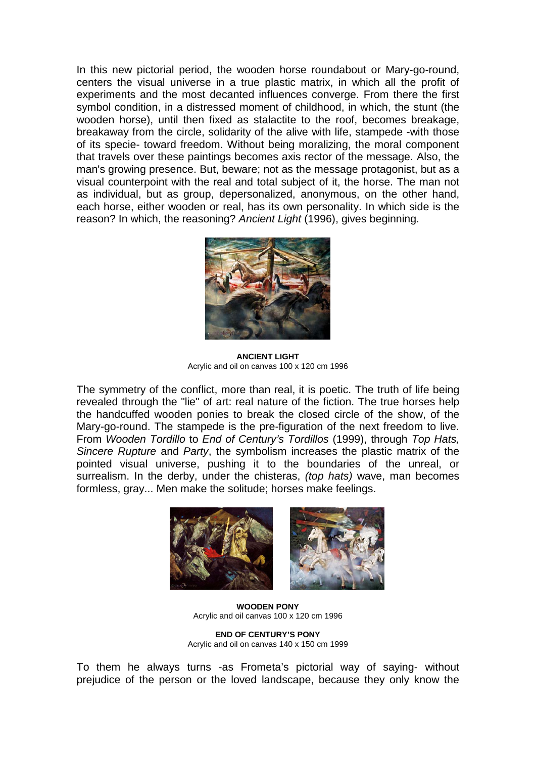In this new pictorial period, the wooden horse roundabout or Mary-go-round, centers the visual universe in a true plastic matrix, in which all the profit of experiments and the most decanted influences converge. From there the first symbol condition, in a distressed moment of childhood, in which, the stunt (the wooden horse), until then fixed as stalactite to the roof, becomes breakage, breakaway from the circle, solidarity of the alive with life, stampede -with those of its specie- toward freedom. Without being moralizing, the moral component that travels over these paintings becomes axis rector of the message. Also, the man's growing presence. But, beware; not as the message protagonist, but as a visual counterpoint with the real and total subject of it, the horse. The man not as individual, but as group, depersonalized, anonymous, on the other hand, each horse, either wooden or real, has its own personality. In which side is the reason? In which, the reasoning? *Ancient Light* (1996), gives beginning.



**ANCIENT LIGHT** Acrylic and oil on canvas 100 x 120 cm 1996

The symmetry of the conflict, more than real, it is poetic. The truth of life being revealed through the "lie" of art: real nature of the fiction. The true horses help the handcuffed wooden ponies to break the closed circle of the show, of the Mary-go-round. The stampede is the pre-figuration of the next freedom to live. From *Wooden Tordillo* to *End of Century's Tordillos* (1999), through *Top Hats, Sincere Rupture* and *Party*, the symbolism increases the plastic matrix of the pointed visual universe, pushing it to the boundaries of the unreal, or surrealism. In the derby, under the chisteras, *(top hats)* wave, man becomes formless, gray... Men make the solitude; horses make feelings.



**WOODEN PONY** Acrylic and oil canvas 100 x 120 cm 1996

**END OF CENTURY'S PONY** Acrylic and oil on canvas 140 x 150 cm 1999

To them he always turns -as Frometa's pictorial way of saying- without prejudice of the person or the loved landscape, because they only know the